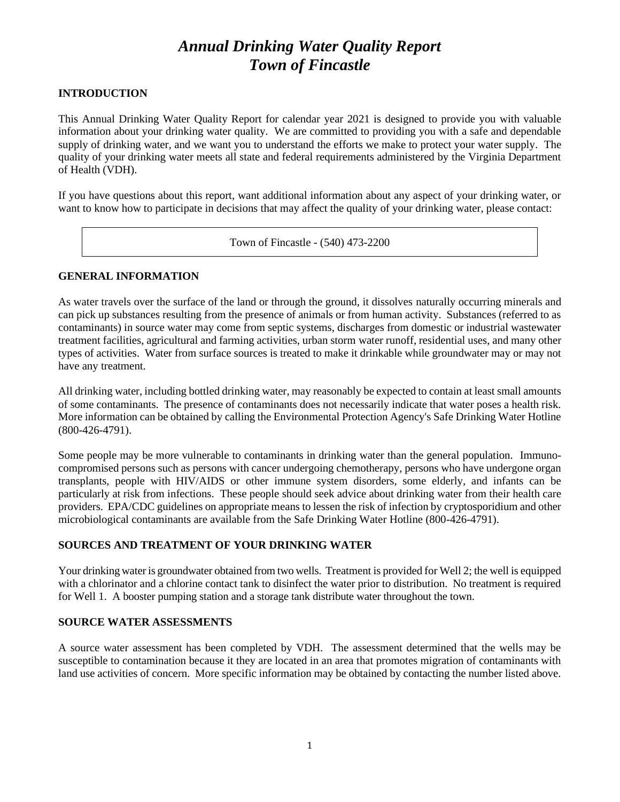# *Annual Drinking Water Quality Report Town of Fincastle*

## **INTRODUCTION**

This Annual Drinking Water Quality Report for calendar year 2021 is designed to provide you with valuable information about your drinking water quality. We are committed to providing you with a safe and dependable supply of drinking water, and we want you to understand the efforts we make to protect your water supply. The quality of your drinking water meets all state and federal requirements administered by the Virginia Department of Health (VDH).

If you have questions about this report, want additional information about any aspect of your drinking water, or want to know how to participate in decisions that may affect the quality of your drinking water, please contact:

Town of Fincastle - (540) 473-2200

### **GENERAL INFORMATION**

As water travels over the surface of the land or through the ground, it dissolves naturally occurring minerals and can pick up substances resulting from the presence of animals or from human activity. Substances (referred to as contaminants) in source water may come from septic systems, discharges from domestic or industrial wastewater treatment facilities, agricultural and farming activities, urban storm water runoff, residential uses, and many other types of activities. Water from surface sources is treated to make it drinkable while groundwater may or may not have any treatment.

All drinking water, including bottled drinking water, may reasonably be expected to contain at least small amounts of some contaminants. The presence of contaminants does not necessarily indicate that water poses a health risk. More information can be obtained by calling the Environmental Protection Agency's Safe Drinking Water Hotline (800-426-4791).

Some people may be more vulnerable to contaminants in drinking water than the general population. Immunocompromised persons such as persons with cancer undergoing chemotherapy, persons who have undergone organ transplants, people with HIV/AIDS or other immune system disorders, some elderly, and infants can be particularly at risk from infections. These people should seek advice about drinking water from their health care providers. EPA/CDC guidelines on appropriate means to lessen the risk of infection by cryptosporidium and other microbiological contaminants are available from the Safe Drinking Water Hotline (800-426-4791).

# **SOURCES AND TREATMENT OF YOUR DRINKING WATER**

Your drinking water is groundwater obtained from two wells. Treatment is provided for Well 2; the well is equipped with a chlorinator and a chlorine contact tank to disinfect the water prior to distribution. No treatment is required for Well 1. A booster pumping station and a storage tank distribute water throughout the town.

### **SOURCE WATER ASSESSMENTS**

A source water assessment has been completed by VDH. The assessment determined that the wells may be susceptible to contamination because it they are located in an area that promotes migration of contaminants with land use activities of concern. More specific information may be obtained by contacting the number listed above.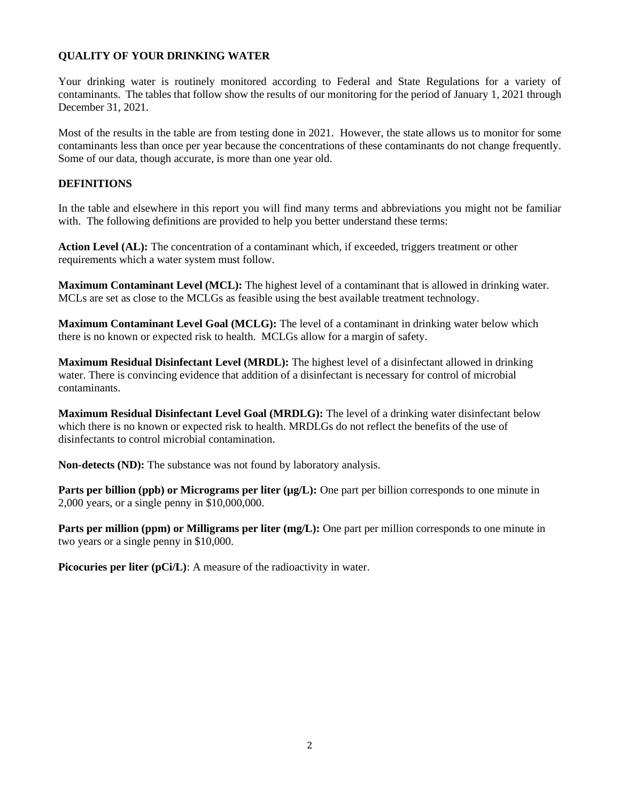# **QUALITY OF YOUR DRINKING WATER**

Your drinking water is routinely monitored according to Federal and State Regulations for a variety of contaminants. The tables that follow show the results of our monitoring for the period of January 1, 2021 through December 31, 2021.

Most of the results in the table are from testing done in 2021. However, the state allows us to monitor for some contaminants less than once per year because the concentrations of these contaminants do not change frequently. Some of our data, though accurate, is more than one year old.

## **DEFINITIONS**

In the table and elsewhere in this report you will find many terms and abbreviations you might not be familiar with. The following definitions are provided to help you better understand these terms:

**Action Level (AL):** The concentration of a contaminant which, if exceeded, triggers treatment or other requirements which a water system must follow.

**Maximum Contaminant Level (MCL):** The highest level of a contaminant that is allowed in drinking water. MCLs are set as close to the MCLGs as feasible using the best available treatment technology.

**Maximum Contaminant Level Goal (MCLG):** The level of a contaminant in drinking water below which there is no known or expected risk to health. MCLGs allow for a margin of safety.

**Maximum Residual Disinfectant Level (MRDL):** The highest level of a disinfectant allowed in drinking water. There is convincing evidence that addition of a disinfectant is necessary for control of microbial contaminants.

**Maximum Residual Disinfectant Level Goal (MRDLG):** The level of a drinking water disinfectant below which there is no known or expected risk to health. MRDLGs do not reflect the benefits of the use of disinfectants to control microbial contamination.

**Non-detects (ND):** The substance was not found by laboratory analysis.

**Parts per billion (ppb) or Micrograms per liter (µg/L):** One part per billion corresponds to one minute in 2,000 years, or a single penny in \$10,000,000.

Parts per million (ppm) or Milligrams per liter (mg/L): One part per million corresponds to one minute in two years or a single penny in \$10,000.

**Picocuries per liter (pCi/L):** A measure of the radioactivity in water.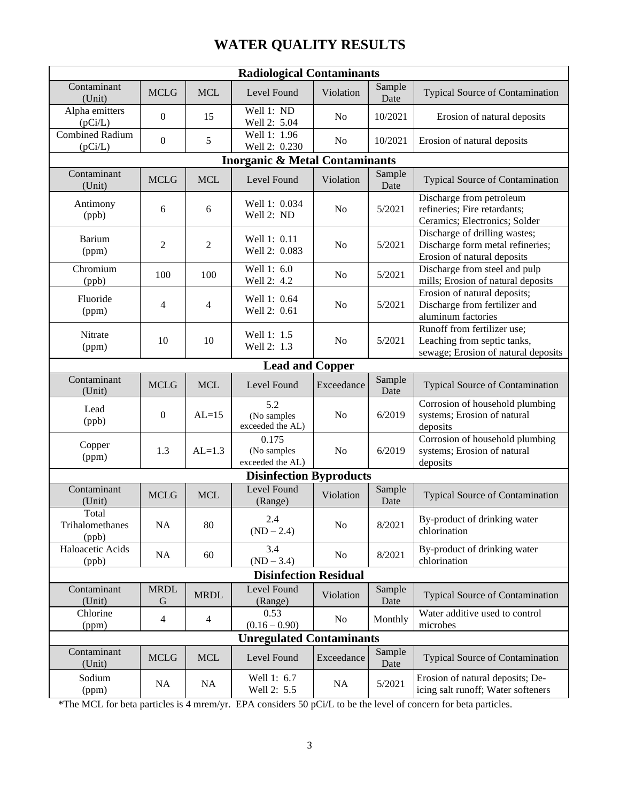# **WATER QUALITY RESULTS**

| <b>Radiological Contaminants</b>          |                  |                |                                          |                |                |                                                                                                   |
|-------------------------------------------|------------------|----------------|------------------------------------------|----------------|----------------|---------------------------------------------------------------------------------------------------|
| Contaminant<br>(Unit)                     | <b>MCLG</b>      | <b>MCL</b>     | Level Found                              | Violation      | Sample<br>Date | Typical Source of Contamination                                                                   |
| Alpha emitters<br>(pCi/L)                 | $\mathbf{0}$     | 15             | Well 1: ND<br>Well 2: 5.04               | N <sub>0</sub> | 10/2021        | Erosion of natural deposits                                                                       |
| <b>Combined Radium</b><br>(pCi/L)         | $\mathbf{0}$     | 5              | Well 1: 1.96<br>Well 2: 0.230            | N <sub>0</sub> | 10/2021        | Erosion of natural deposits                                                                       |
| <b>Inorganic &amp; Metal Contaminants</b> |                  |                |                                          |                |                |                                                                                                   |
| Contaminant<br>(Unit)                     | <b>MCLG</b>      | <b>MCL</b>     | Level Found                              | Violation      | Sample<br>Date | <b>Typical Source of Contamination</b>                                                            |
| Antimony<br>(ppb)                         | 6                | 6              | Well 1: 0.034<br>Well 2: ND              | N <sub>0</sub> | 5/2021         | Discharge from petroleum<br>refineries; Fire retardants;<br>Ceramics; Electronics; Solder         |
| Barium<br>(ppm)                           | 2                | $\overline{2}$ | Well 1: 0.11<br>Well 2: 0.083            | N <sub>o</sub> | 5/2021         | Discharge of drilling wastes;<br>Discharge form metal refineries;<br>Erosion of natural deposits  |
| Chromium<br>(ppb)                         | 100              | 100            | Well 1: 6.0<br>Well 2: 4.2               | N <sub>0</sub> | 5/2021         | Discharge from steel and pulp<br>mills; Erosion of natural deposits                               |
| Fluoride<br>(ppm)                         | 4                | $\overline{4}$ | Well 1: 0.64<br>Well 2: 0.61             | N <sub>o</sub> | 5/2021         | Erosion of natural deposits;<br>Discharge from fertilizer and<br>aluminum factories               |
| Nitrate<br>(ppm)                          | 10               | 10             | Well 1: 1.5<br>Well 2: 1.3               | N <sub>0</sub> | 5/2021         | Runoff from fertilizer use;<br>Leaching from septic tanks,<br>sewage; Erosion of natural deposits |
| <b>Lead and Copper</b>                    |                  |                |                                          |                |                |                                                                                                   |
| Contaminant<br>(Unit)                     | <b>MCLG</b>      | <b>MCL</b>     | Level Found                              | Exceedance     | Sample<br>Date | Typical Source of Contamination                                                                   |
| Lead<br>(ppb)                             | $\mathbf{0}$     | $AL=15$        | 5.2<br>(No samples<br>exceeded the AL)   | N <sub>o</sub> | 6/2019         | Corrosion of household plumbing<br>systems; Erosion of natural<br>deposits                        |
| Copper<br>(ppm)                           | 1.3              | $AL=1.3$       | 0.175<br>(No samples<br>exceeded the AL) | N <sub>0</sub> | 6/2019         | Corrosion of household plumbing<br>systems; Erosion of natural<br>deposits                        |
| <b>Disinfection Byproducts</b>            |                  |                |                                          |                |                |                                                                                                   |
| Contaminant<br>(Unit)                     | <b>MCLG</b>      | <b>MCL</b>     | Level Found<br>(Range)                   | Violation      | Sample<br>Date | <b>Typical Source of Contamination</b>                                                            |
| Total<br>Trihalomethanes<br>(ppb)         | NA               | 80             | 2.4<br>$(ND - 2.4)$                      | N <sub>o</sub> | 8/2021         | By-product of drinking water<br>chlorination                                                      |
| Haloacetic Acids<br>(ppb)                 | NA               | 60             | 3.4<br>$(ND - 3.4)$                      | No             | 8/2021         | By-product of drinking water<br>chlorination                                                      |
| <b>Disinfection Residual</b>              |                  |                |                                          |                |                |                                                                                                   |
| Contaminant<br>(Unit)                     | <b>MRDL</b><br>G | <b>MRDL</b>    | Level Found<br>(Range)                   | Violation      | Sample<br>Date | <b>Typical Source of Contamination</b>                                                            |
| Chlorine<br>(ppm)                         | $\overline{4}$   | $\overline{4}$ | 0.53<br>$(0.16 - 0.90)$                  | No             | Monthly        | Water additive used to control<br>microbes                                                        |
| <b>Unregulated Contaminants</b>           |                  |                |                                          |                |                |                                                                                                   |
| Contaminant<br>(Unit)                     | <b>MCLG</b>      | <b>MCL</b>     | Level Found                              | Exceedance     | Sample<br>Date | Typical Source of Contamination                                                                   |
| Sodium<br>(ppm)                           | NA               | NA             | Well 1: 6.7<br>Well 2: 5.5               | NA             | 5/2021         | Erosion of natural deposits; De-<br>icing salt runoff; Water softeners                            |

\*The MCL for beta particles is 4 mrem/yr. EPA considers 50 pCi/L to be the level of concern for beta particles.